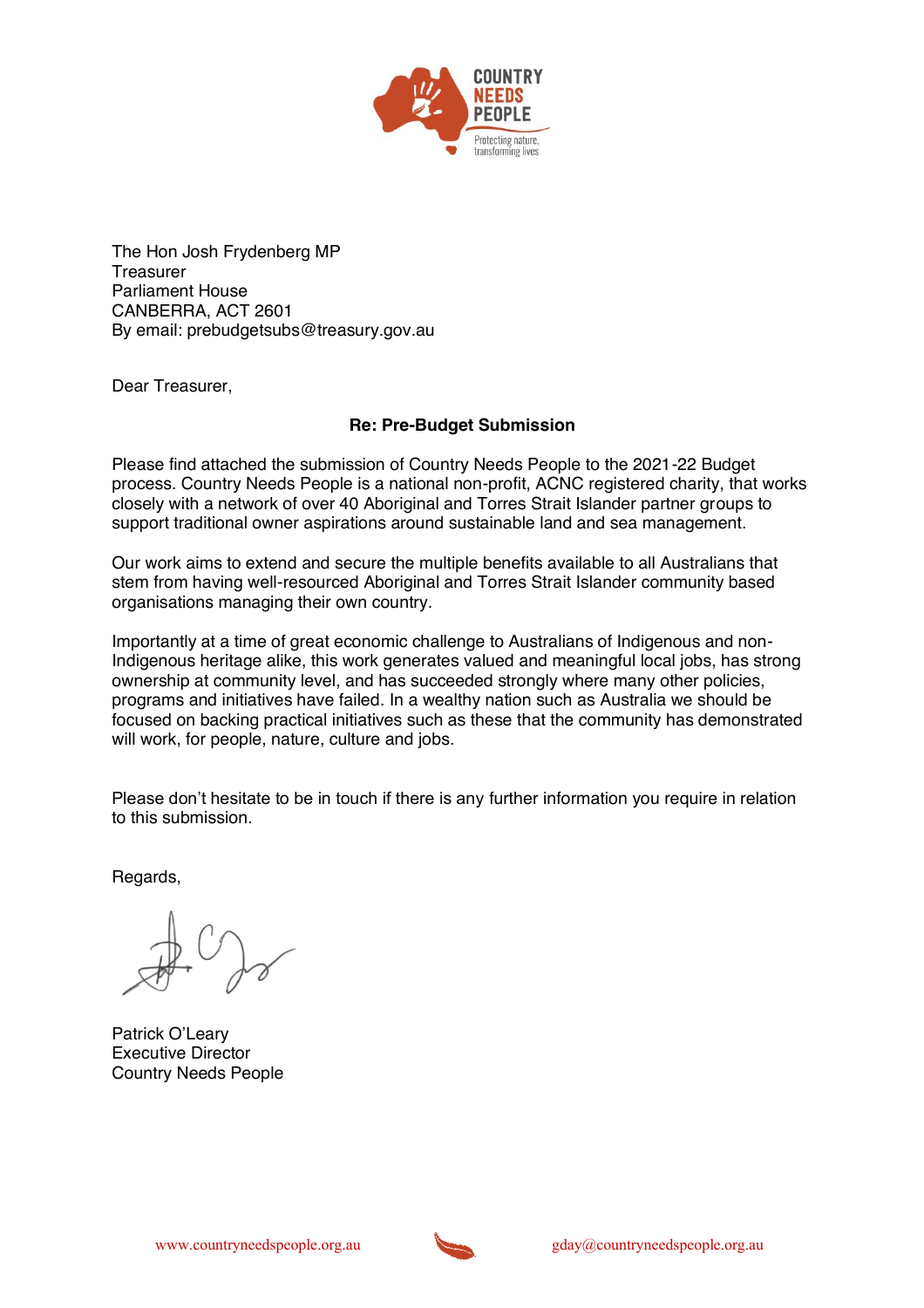

The Hon Josh Frydenberg MP **Treasurer** Parliament House CANBERRA, ACT 2601 By email: prebudgetsubs@treasury.gov.au

Dear Treasurer,

## **Re: Pre-Budget Submission**

Please find attached the submission of Country Needs People to the 2021-22 Budget process. Country Needs People is a national non-profit, ACNC registered charity, that works closely with a network of over 40 Aboriginal and Torres Strait Islander partner groups to support traditional owner aspirations around sustainable land and sea management.

Our work aims to extend and secure the multiple benefits available to all Australians that stem from having well-resourced Aboriginal and Torres Strait Islander community based organisations managing their own country.

Importantly at a time of great economic challenge to Australians of Indigenous and non-Indigenous heritage alike, this work generates valued and meaningful local jobs, has strong ownership at community level, and has succeeded strongly where many other policies, programs and initiatives have failed. In a wealthy nation such as Australia we should be focused on backing practical initiatives such as these that the community has demonstrated will work, for people, nature, culture and jobs.

Please don't hesitate to be in touch if there is any further information you require in relation to this submission.

Regards,

Patrick O'Leary Executive Director Country Needs People

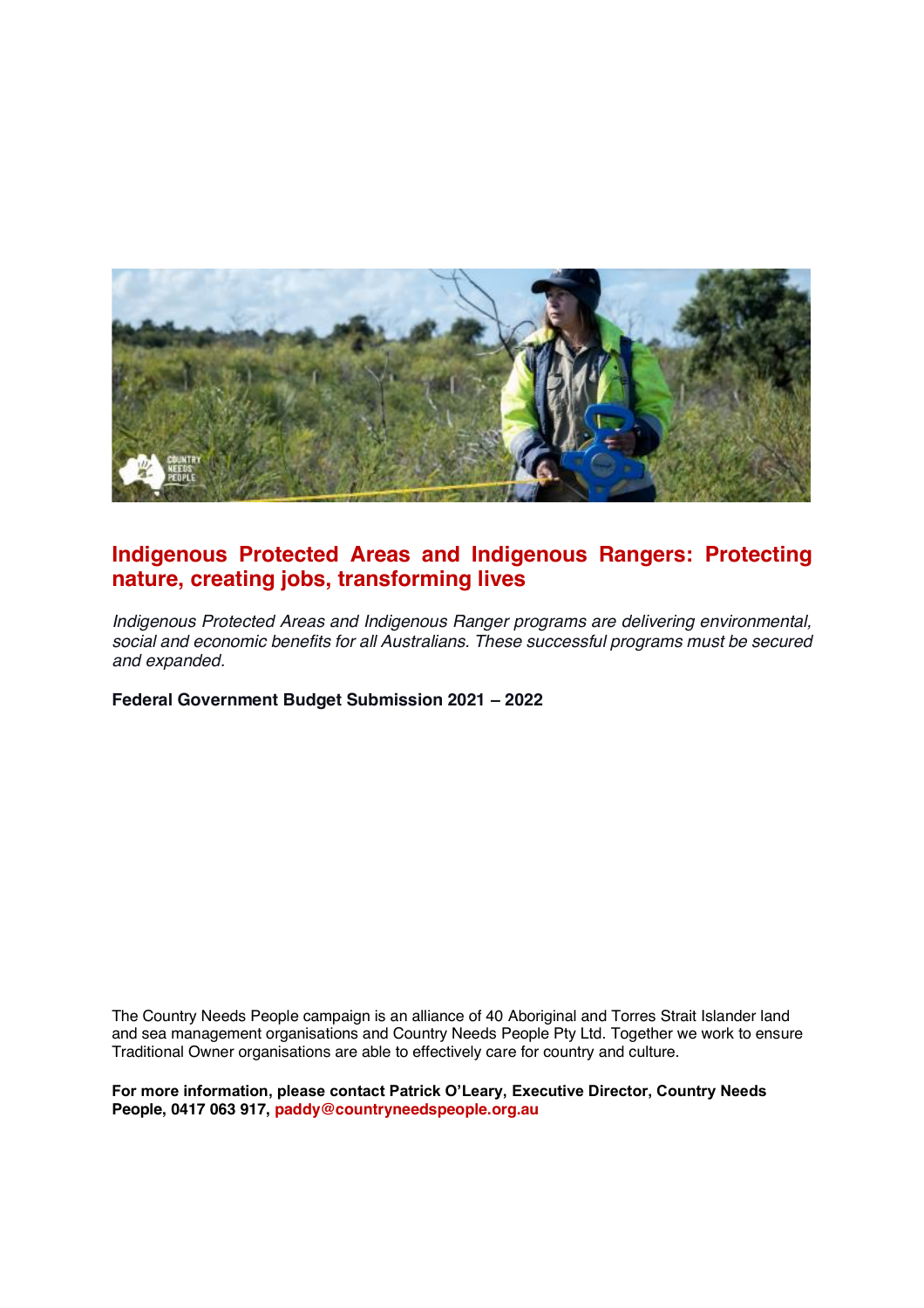

# **Indigenous Protected Areas and Indigenous Rangers: Protecting nature, creating jobs, transforming lives**

*Indigenous Protected Areas and Indigenous Ranger programs are delivering environmental, social and economic benefits for all Australians. These successful programs must be secured and expanded.*

**Federal Government Budget Submission 2021 - 2022** 

The Country Needs People campaign is an alliance of 40 Aboriginal and Torres Strait Islander land and sea management organisations and Country Needs People Pty Ltd. Together we work to ensure Traditional Owner organisations are able to effectively care for country and culture.

For more information, please contact Patrick O'Leary, Executive Director, Country Needs **People, 0417 063 917, paddy@countryneedspeople.org.au**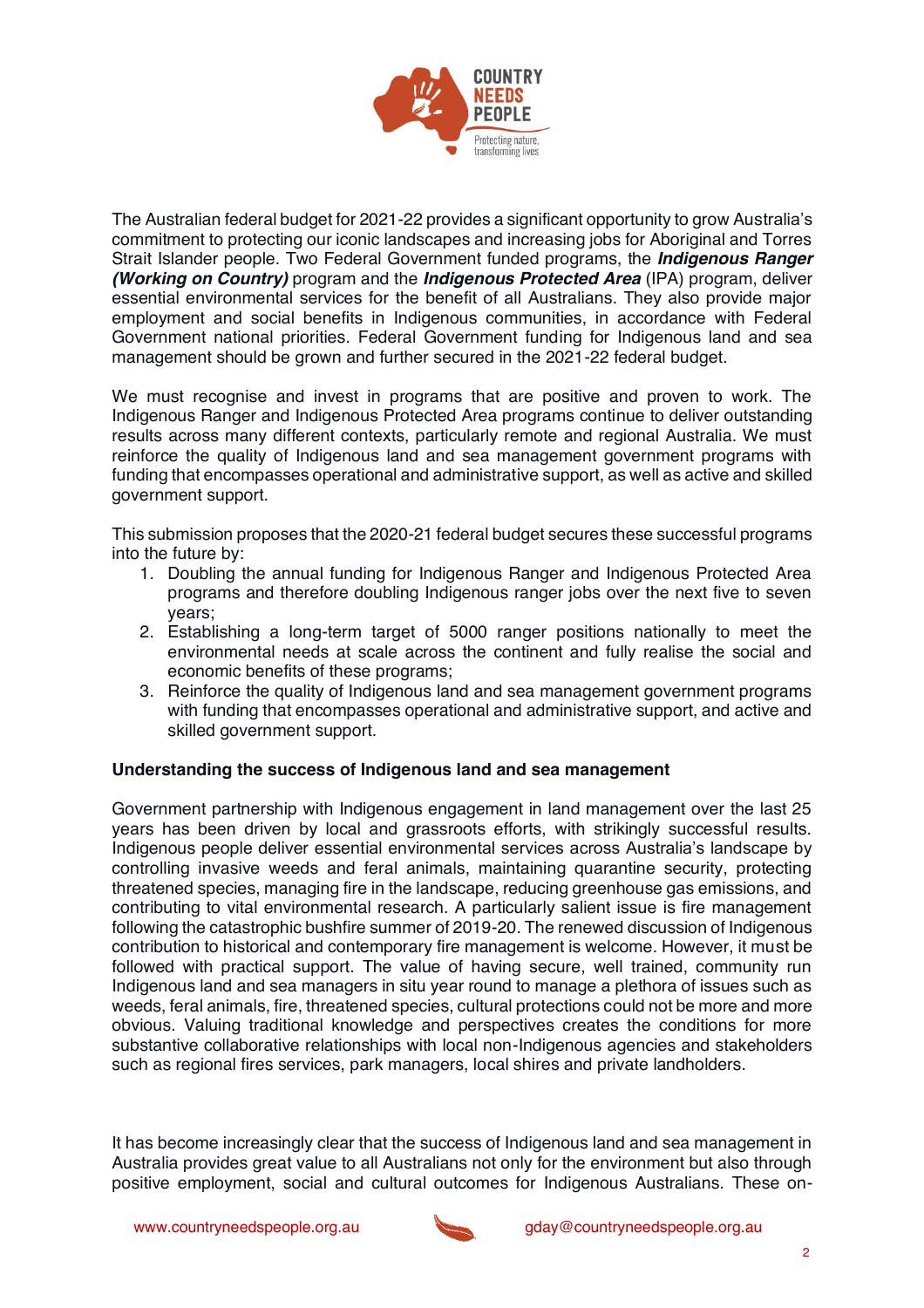

The Australian federal budget for 2021-22 provides a significant opportunity to grow Australia's commitment to protecting our iconic landscapes and increasing jobs for Aboriginal and Torres Strait Islander people. Two Federal Government funded programs, the *Indigenous Ranger (Working on Country)* program and the *Indigenous Protected Area* (IPA) program, deliver essential environmental services for the benefit of all Australians. They also provide major employment and social benefits in Indigenous communities, in accordance with Federal Government national priorities. Federal Government funding for Indigenous land and sea management should be grown and further secured in the 2021-22 federal budget.

We must recognise and invest in programs that are positive and proven to work. The Indigenous Ranger and Indigenous Protected Area programs continue to deliver outstanding results across many different contexts, particularly remote and regional Australia. We must reinforce the quality of Indigenous land and sea management government programs with funding that encompasses operational and administrative support, as well as active and skilled government support.

This submission proposes that the 2020-21 federal budget secures these successful programs into the future by:

- 1. Doubling the annual funding for Indigenous Ranger and Indigenous Protected Area programs and therefore doubling Indigenous ranger jobs over the next five to seven years;
- 2. Establishing a long-term target of 5000 ranger positions nationally to meet the environmental needs at scale across the continent and fully realise the social and economic benefits of these programs;
- 3. Reinforce the quality of Indigenous land and sea management government programs with funding that encompasses operational and administrative support, and active and skilled government support.

### **Understanding the success of Indigenous land and sea management**

Government partnership with Indigenous engagement in land management over the last 25 years has been driven by local and grassroots efforts, with strikingly successful results. Indigenous people deliver essential environmental services across Australia's landscape by controlling invasive weeds and feral animals, maintaining quarantine security, protecting threatened species, managing fire in the landscape, reducing greenhouse gas emissions, and contributing to vital environmental research. A particularly salient issue is fire management following the catastrophic bushfire summer of 2019-20. The renewed discussion of Indigenous contribution to historical and contemporary fire management is welcome. However, it must be followed with practical support. The value of having secure, well trained, community run Indigenous land and sea managers in situ year round to manage a plethora of issues such as weeds, feral animals, fire, threatened species, cultural protections could not be more and more obvious. Valuing traditional knowledge and perspectives creates the conditions for more substantive collaborative relationships with local non-Indigenous agencies and stakeholders such as regional fires services, park managers, local shires and private landholders.

It has become increasingly clear that the success of Indigenous land and sea management in Australia provides great value to all Australians not only for the environment but also through positive employment, social and cultural outcomes for Indigenous Australians. These on-

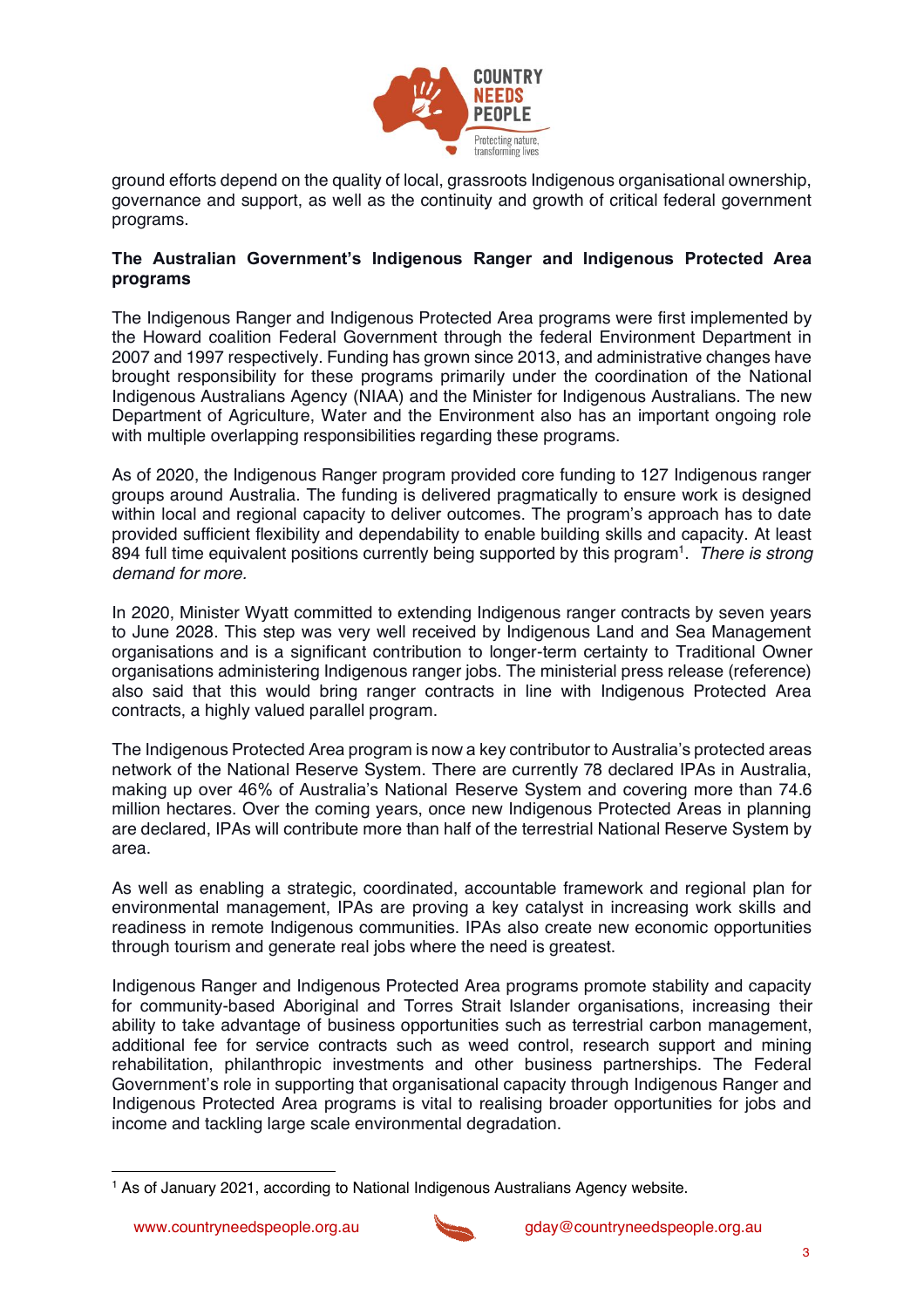

ground efforts depend on the quality of local, grassroots Indigenous organisational ownership, governance and support, as well as the continuity and growth of critical federal government programs.

## The Australian Government's Indigenous Ranger and Indigenous Protected Area **programs**

The Indigenous Ranger and Indigenous Protected Area programs were first implemented by the Howard coalition Federal Government through the federal Environment Department in 2007 and 1997 respectively. Funding has grown since 2013, and administrative changes have brought responsibility for these programs primarily under the coordination of the National Indigenous Australians Agency (NIAA) and the Minister for Indigenous Australians. The new Department of Agriculture, Water and the Environment also has an important ongoing role with multiple overlapping responsibilities regarding these programs.

As of 2020, the Indigenous Ranger program provided core funding to 127 Indigenous ranger groups around Australia. The funding is delivered pragmatically to ensure work is designed within local and regional capacity to deliver outcomes. The program's approach has to date provided sufficient flexibility and dependability to enable building skills and capacity. At least 894 full time equivalent positions currently being supported by this program1. *There is strong demand for more.*

In 2020, Minister Wyatt committed to extending Indigenous ranger contracts by seven years to June 2028. This step was very well received by Indigenous Land and Sea Management organisations and is a significant contribution to longer-term certainty to Traditional Owner organisations administering Indigenous ranger jobs. The ministerial press release (reference) also said that this would bring ranger contracts in line with Indigenous Protected Area contracts, a highly valued parallel program.

The Indigenous Protected Area program is now a key contributor to Australia's protected areas network of the National Reserve System. There are currently 78 declared IPAs in Australia, making up over 46% of Australia's National Reserve System and covering more than 74.6 million hectares. Over the coming years, once new Indigenous Protected Areas in planning are declared, IPAs will contribute more than half of the terrestrial National Reserve System by area.

As well as enabling a strategic, coordinated, accountable framework and regional plan for environmental management, IPAs are proving a key catalyst in increasing work skills and readiness in remote Indigenous communities. IPAs also create new economic opportunities through tourism and generate real jobs where the need is greatest.

Indigenous Ranger and Indigenous Protected Area programs promote stability and capacity for community-based Aboriginal and Torres Strait Islander organisations, increasing their ability to take advantage of business opportunities such as terrestrial carbon management, additional fee for service contracts such as weed control, research support and mining rehabilitation, philanthropic investments and other business partnerships. The Federal Government's role in supporting that organisational capacity through Indigenous Ranger and Indigenous Protected Area programs is vital to realising broader opportunities for jobs and income and tackling large scale environmental degradation.



<sup>&</sup>lt;sup>1</sup> As of January 2021, according to National Indigenous Australians Agency website.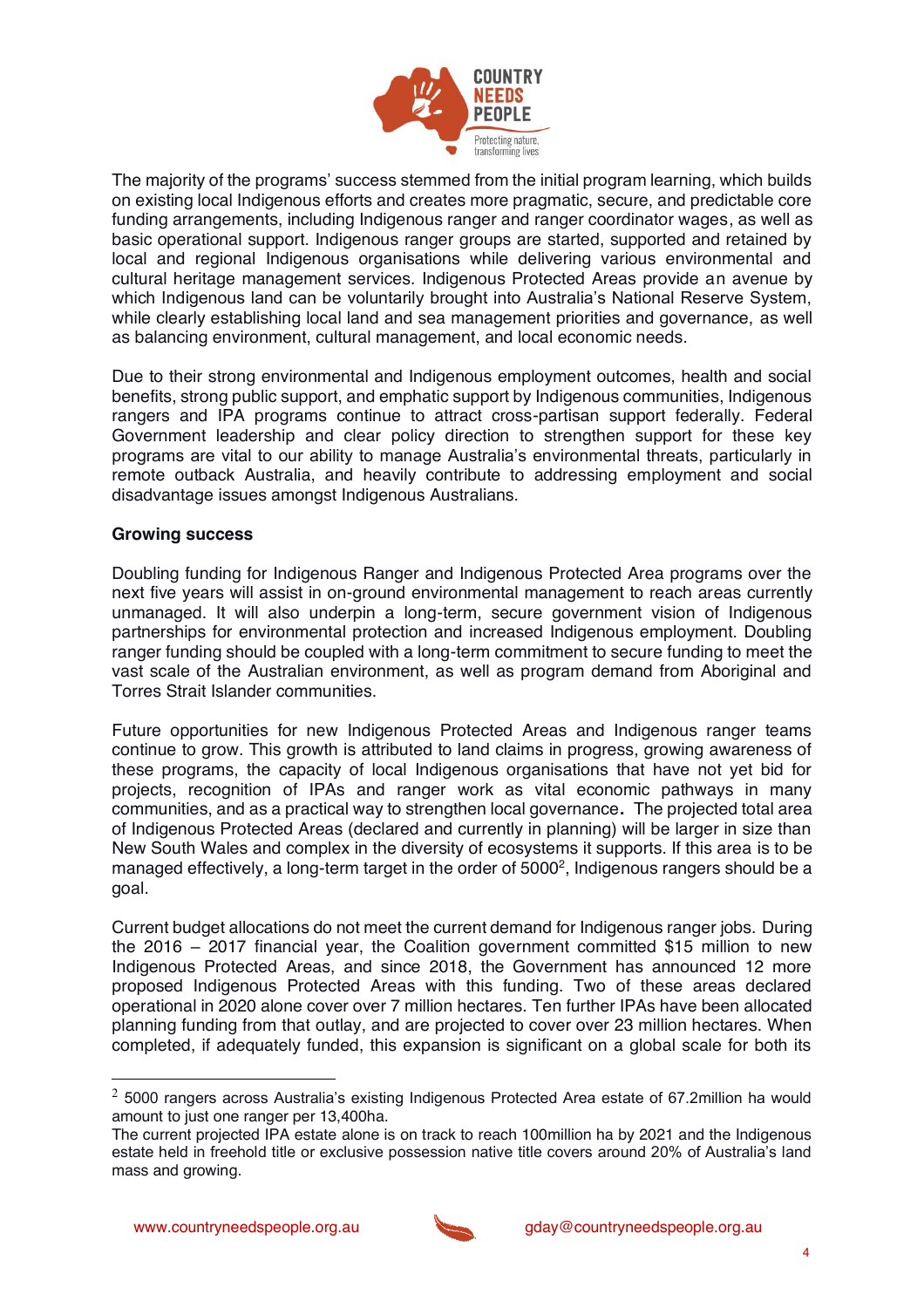

The majority of the programs' success stemmed from the initial program learning, which builds on existing local Indigenous efforts and creates more pragmatic, secure, and predictable core funding arrangements, including Indigenous ranger and ranger coordinator wages, as well as basic operational support. Indigenous ranger groups are started, supported and retained by local and regional Indigenous organisations while delivering various environmental and cultural heritage management services. Indigenous Protected Areas provide an avenue by which Indigenous land can be voluntarily brought into Australia's National Reserve System, while clearly establishing local land and sea management priorities and governance, as well as balancing environment, cultural management, and local economic needs.

Due to their strong environmental and Indigenous employment outcomes, health and social benefits, strong public support, and emphatic support by Indigenous communities, Indigenous rangers and IPA programs continue to attract cross-partisan support federally. Federal Government leadership and clear policy direction to strengthen support for these key programs are vital to our ability to manage Australia's environmental threats, particularly in remote outback Australia, and heavily contribute to addressing employment and social disadvantage issues amongst Indigenous Australians.

### **Growing success**

Doubling funding for Indigenous Ranger and Indigenous Protected Area programs over the next five years will assist in on-ground environmental management to reach areas currently unmanaged. It will also underpin a long-term, secure government vision of Indigenous partnerships for environmental protection and increased Indigenous employment. Doubling ranger funding should be coupled with a long-term commitment to secure funding to meet the vast scale of the Australian environment, as well as program demand from Aboriginal and Torres Strait Islander communities.

Future opportunities for new Indigenous Protected Areas and Indigenous ranger teams continue to grow. This growth is attributed to land claims in progress, growing awareness of these programs, the capacity of local Indigenous organisations that have not yet bid for projects, recognition of IPAs and ranger work as vital economic pathways in many communities, and as a practical way to strengthen local governance**.** The projected total area of Indigenous Protected Areas (declared and currently in planning) will be larger in size than New South Wales and complex in the diversity of ecosystems it supports. If this area is to be managed effectively, a long-term target in the order of 5000<sup>2</sup>, Indigenous rangers should be a goal.

Current budget allocations do not meet the current demand for Indigenous ranger jobs. During the 2016 – 2017 financial year, the Coalition government committed \$15 million to new Indigenous Protected Areas, and since 2018, the Government has announced 12 more proposed Indigenous Protected Areas with this funding. Two of these areas declared operational in 2020 alone cover over 7 million hectares. Ten further IPAs have been allocated planning funding from that outlay, and are projected to cover over 23 million hectares. When completed, if adequately funded, this expansion is significant on a global scale for both its



 $2$  5000 rangers across Australia's existing Indigenous Protected Area estate of 67.2million ha would amount to just one ranger per 13,400ha.

The current projected IPA estate alone is on track to reach 100million ha by 2021 and the Indigenous estate held in freehold title or exclusive possession native title covers around 20% of Australia's land mass and growing.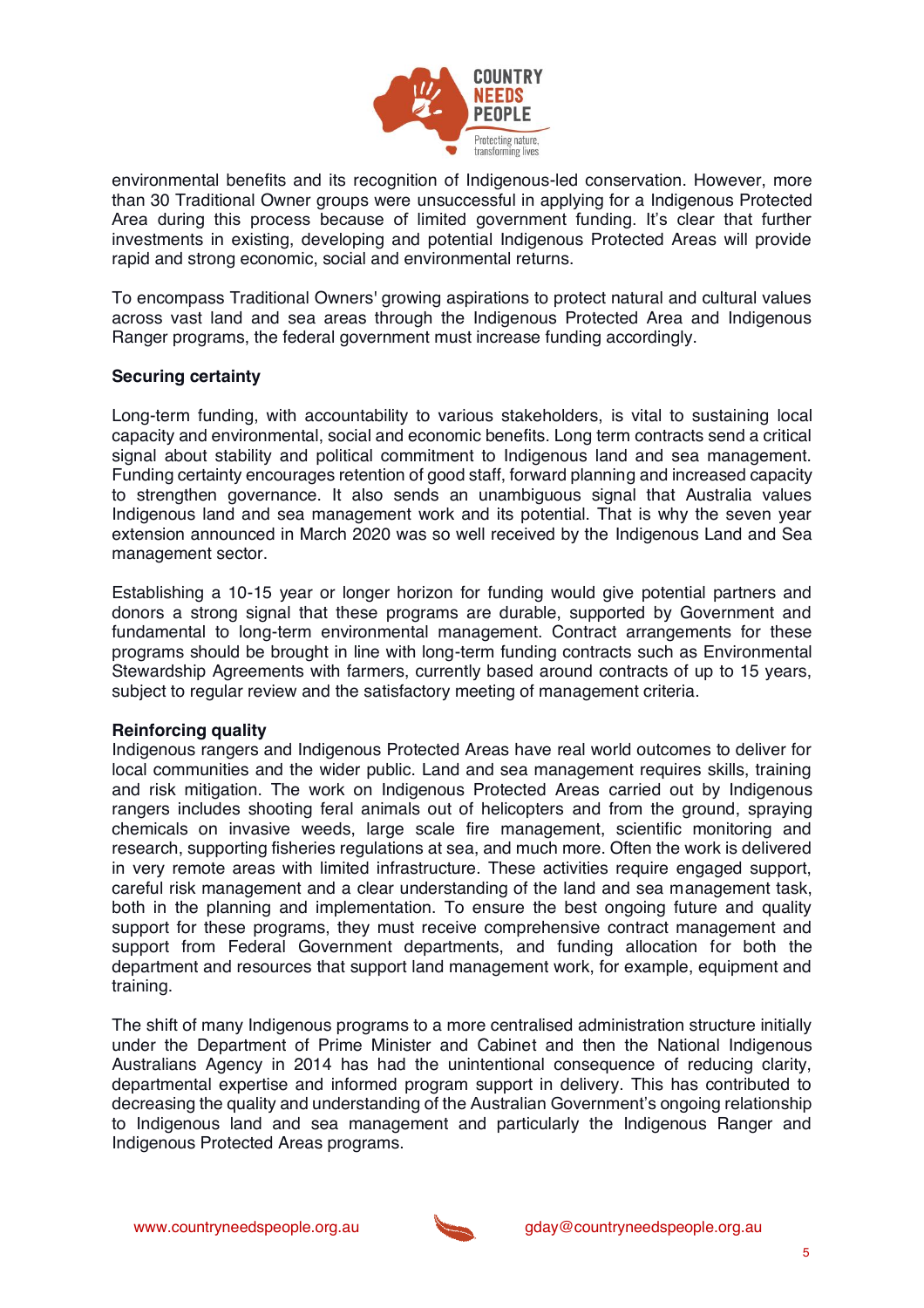

environmental benefits and its recognition of Indigenous-led conservation. However, more than 30 Traditional Owner groups were unsuccessful in applying for a Indigenous Protected Area during this process because of limited government funding. It's clear that further investments in existing, developing and potential Indigenous Protected Areas will provide rapid and strong economic, social and environmental returns.

To encompass Traditional Owners' growing aspirations to protect natural and cultural values across vast land and sea areas through the Indigenous Protected Area and Indigenous Ranger programs, the federal government must increase funding accordingly.

### **Securing certainty**

Long-term funding, with accountability to various stakeholders, is vital to sustaining local capacity and environmental, social and economic benefits. Long term contracts send a critical signal about stability and political commitment to Indigenous land and sea management. Funding certainty encourages retention of good staff, forward planning and increased capacity to strengthen governance. It also sends an unambiguous signal that Australia values Indigenous land and sea management work and its potential. That is why the seven year extension announced in March 2020 was so well received by the Indigenous Land and Sea management sector.

Establishing a 10-15 year or longer horizon for funding would give potential partners and donors a strong signal that these programs are durable, supported by Government and fundamental to long-term environmental management. Contract arrangements for these programs should be brought in line with long-term funding contracts such as Environmental Stewardship Agreements with farmers, currently based around contracts of up to 15 years, subject to regular review and the satisfactory meeting of management criteria.

#### **Reinforcing quality**

Indigenous rangers and Indigenous Protected Areas have real world outcomes to deliver for local communities and the wider public. Land and sea management requires skills, training and risk mitigation. The work on Indigenous Protected Areas carried out by Indigenous rangers includes shooting feral animals out of helicopters and from the ground, spraying chemicals on invasive weeds, large scale fire management, scientific monitoring and research, supporting fisheries regulations at sea, and much more. Often the work is delivered in very remote areas with limited infrastructure. These activities require engaged support, careful risk management and a clear understanding of the land and sea management task, both in the planning and implementation. To ensure the best ongoing future and quality support for these programs, they must receive comprehensive contract management and support from Federal Government departments, and funding allocation for both the department and resources that support land management work, for example, equipment and training.

The shift of many Indigenous programs to a more centralised administration structure initially under the Department of Prime Minister and Cabinet and then the National Indigenous Australians Agency in 2014 has had the unintentional consequence of reducing clarity, departmental expertise and informed program support in delivery. This has contributed to decreasing the quality and understanding of the Australian Government's ongoing relationship to Indigenous land and sea management and particularly the Indigenous Ranger and Indigenous Protected Areas programs.

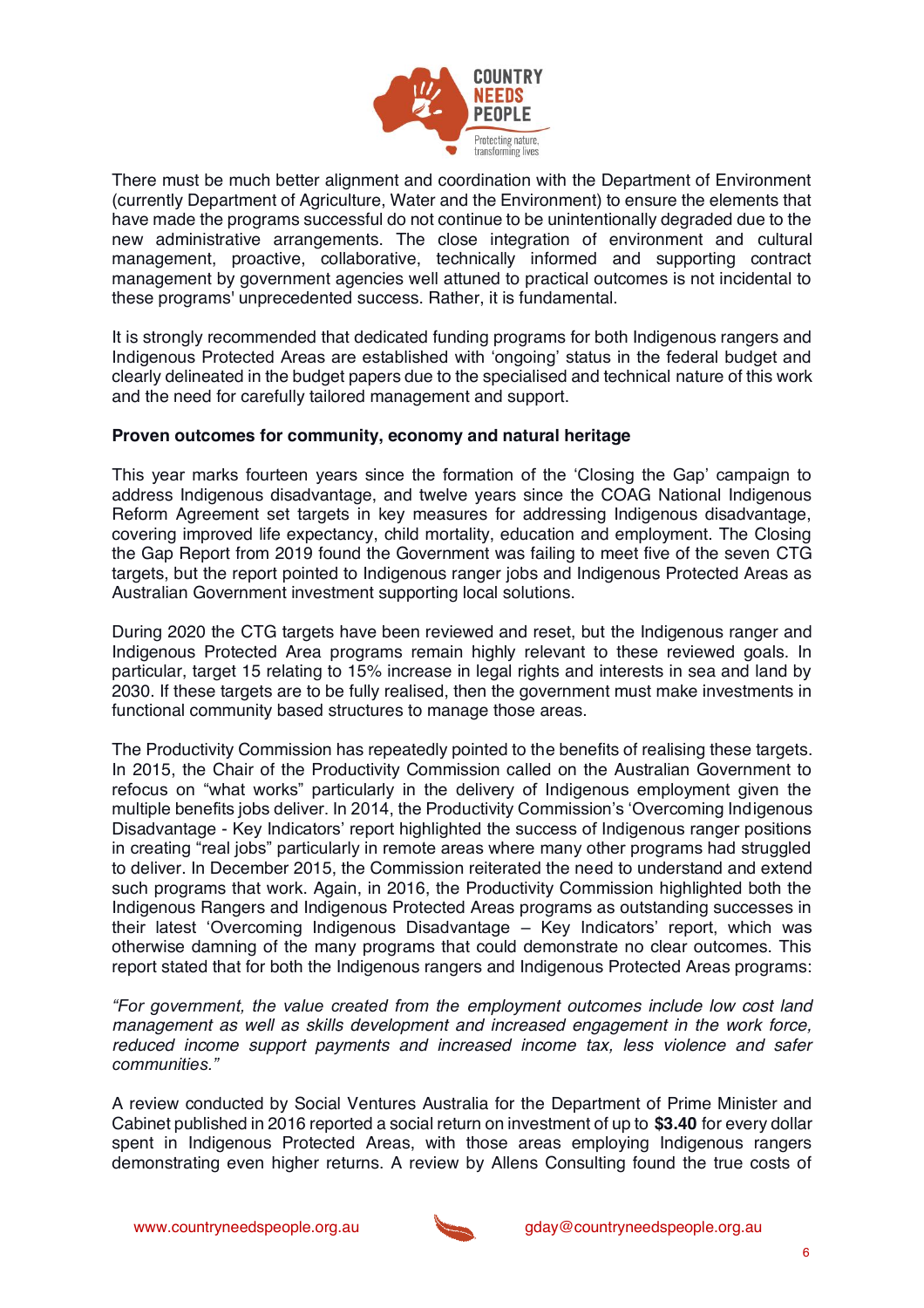

There must be much better alignment and coordination with the Department of Environment (currently Department of Agriculture, Water and the Environment) to ensure the elements that have made the programs successful do not continue to be unintentionally degraded due to the new administrative arrangements. The close integration of environment and cultural management, proactive, collaborative, technically informed and supporting contract management by government agencies well attuned to practical outcomes is not incidental to these programs' unprecedented success. Rather, it is fundamental.

It is strongly recommended that dedicated funding programs for both Indigenous rangers and Indigenous Protected Areas are established with 'ongoing' status in the federal budget and clearly delineated in the budget papers due to the specialised and technical nature of this work and the need for carefully tailored management and support.

### **Proven outcomes for community, economy and natural heritage**

This year marks fourteen years since the formation of the 'Closing the Gap' campaign to address Indigenous disadvantage, and twelve years since the COAG National Indigenous Reform Agreement set targets in key measures for addressing Indigenous disadvantage, covering improved life expectancy, child mortality, education and employment. The Closing the Gap Report from 2019 found the Government was failing to meet five of the seven CTG targets, but the report pointed to Indigenous ranger jobs and Indigenous Protected Areas as Australian Government investment supporting local solutions.

During 2020 the CTG targets have been reviewed and reset, but the Indigenous ranger and Indigenous Protected Area programs remain highly relevant to these reviewed goals. In particular, target 15 relating to 15% increase in legal rights and interests in sea and land by 2030. If these targets are to be fully realised, then the government must make investments in functional community based structures to manage those areas.

The Productivity Commission has repeatedly pointed to the benefits of realising these targets. In 2015, the Chair of the Productivity Commission called on the Australian Government to refocus on "what works" particularly in the delivery of Indigenous employment given the multiple benefits jobs deliver. In 2014, the Productivity Commission's 'Overcoming Indigenous Disadvantage - Key Indicators' report highlighted the success of Indigenous ranger positions in creating "real jobs" particularly in remote areas where many other programs had struggled to deliver. In December 2015, the Commission reiterated the need to understand and extend such programs that work. Again, in 2016, the Productivity Commission highlighted both the Indigenous Rangers and Indigenous Protected Areas programs as outstanding successes in their latest 'Overcoming Indigenous Disadvantage – Key Indicators' report, which was otherwise damning of the many programs that could demonstrate no clear outcomes. This report stated that for both the Indigenous rangers and Indigenous Protected Areas programs:

*<sup>"</sup>For government, the value created from the employment outcomes include low cost land management as well as skills development and increased engagement in the work force, reduced income support payments and increased income tax, less violence and safer communities* "

A review conducted by Social Ventures Australia for the Department of Prime Minister and Cabinet published in 2016 reported a social return on investment of up to **\$3.40** for every dollar spent in Indigenous Protected Areas, with those areas employing Indigenous rangers demonstrating even higher returns. A review by Allens Consulting found the true costs of

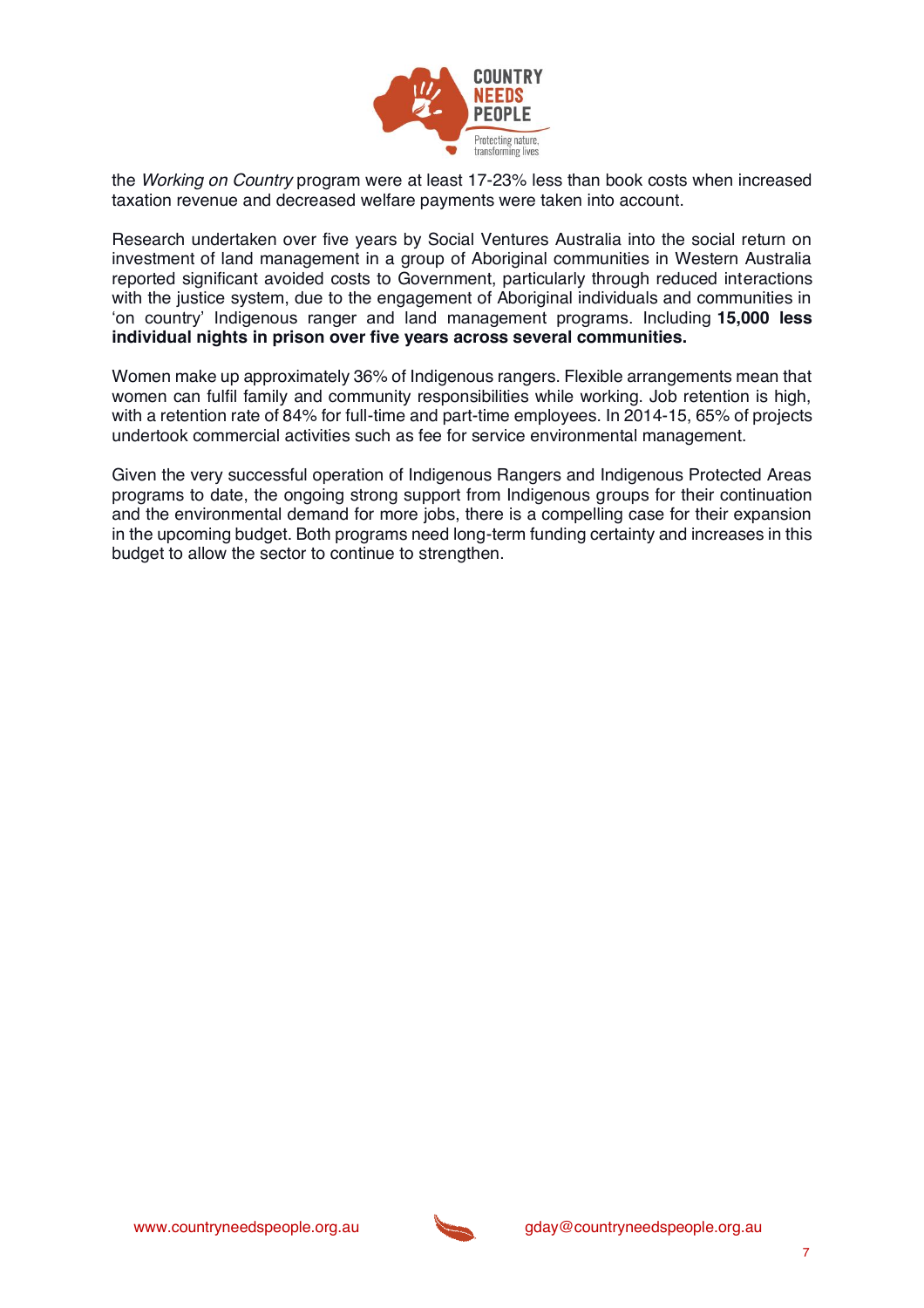

the *Working on Country* program were at least 17-23% less than book costs when increased taxation revenue and decreased welfare payments were taken into account.

Research undertaken over five years by Social Ventures Australia into the social return on investment of land management in a group of Aboriginal communities in Western Australia reported significant avoided costs to Government, particularly through reduced interactions with the justice system, due to the engagement of Aboriginal individuals and communities in 'on country' Indigenous ranger and land management programs. Including **15,000 less individual nights in prison over five years across several communities.**

Women make up approximately 36% of Indigenous rangers. Flexible arrangements mean that women can fulfil family and community responsibilities while working. Job retention is high, with a retention rate of 84% for full-time and part-time employees. In 2014-15, 65% of projects undertook commercial activities such as fee for service environmental management.

Given the very successful operation of Indigenous Rangers and Indigenous Protected Areas programs to date, the ongoing strong support from Indigenous groups for their continuation and the environmental demand for more jobs, there is a compelling case for their expansion in the upcoming budget. Both programs need long-term funding certainty and increases in this budget to allow the sector to continue to strengthen.

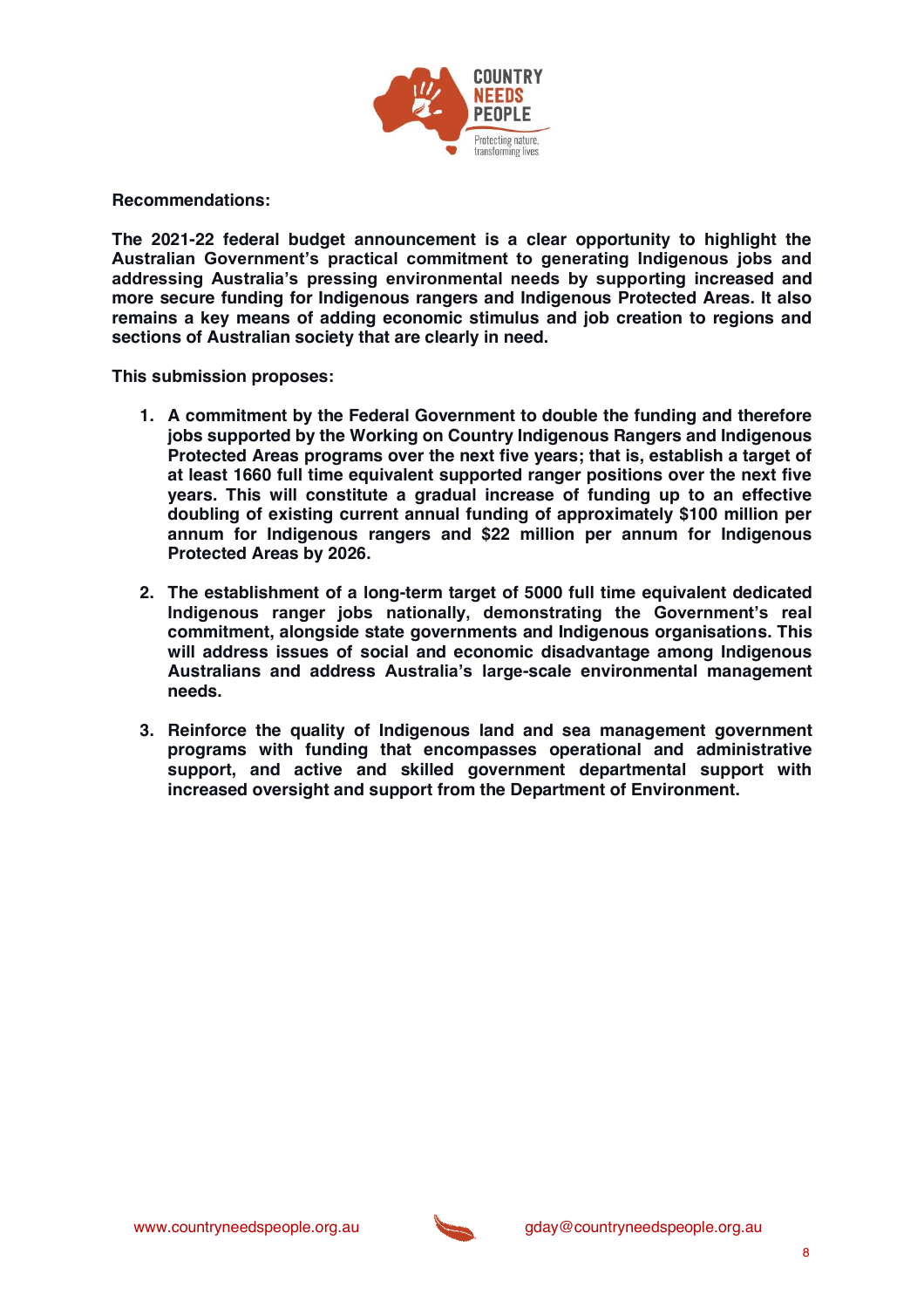

**Recommendations:** 

**The 2021-22 federal budget announcement is a clear opportunity to highlight the**  Australian Government's practical commitment to generating Indigenous jobs and addressing Australia's pressing environmental needs by supporting increased and **more secure funding for Indigenous rangers and Indigenous Protected Areas. It also remains a key means of adding economic stimulus and job creation to regions and sections of Australian society that are clearly in need.** 

**This submission proposes:**

- **1. A commitment by the Federal Government to double the funding and therefore jobs supported by the Working on Country Indigenous Rangers and Indigenous Protected Areas programs over the next five years; that is, establish a target of at least 1660 full time equivalent supported ranger positions over the next five years. This will constitute a gradual increase of funding up to an effective doubling of existing current annual funding of approximately \$100 million per annum for Indigenous rangers and \$22 million per annum for Indigenous Protected Areas by 2026.**
- **2. The establishment of a long-term target of 5000 full time equivalent dedicated**  Indigenous ranger jobs nationally, demonstrating the Government's real **commitment, alongside state governments and Indigenous organisations. This will address issues of social and economic disadvantage among Indigenous**  Australians and address Australia's large-scale environmental management **needs.**
- **3. Reinforce the quality of Indigenous land and sea management government programs with funding that encompasses operational and administrative support, and active and skilled government departmental support with increased oversight and support from the Department of Environment.**

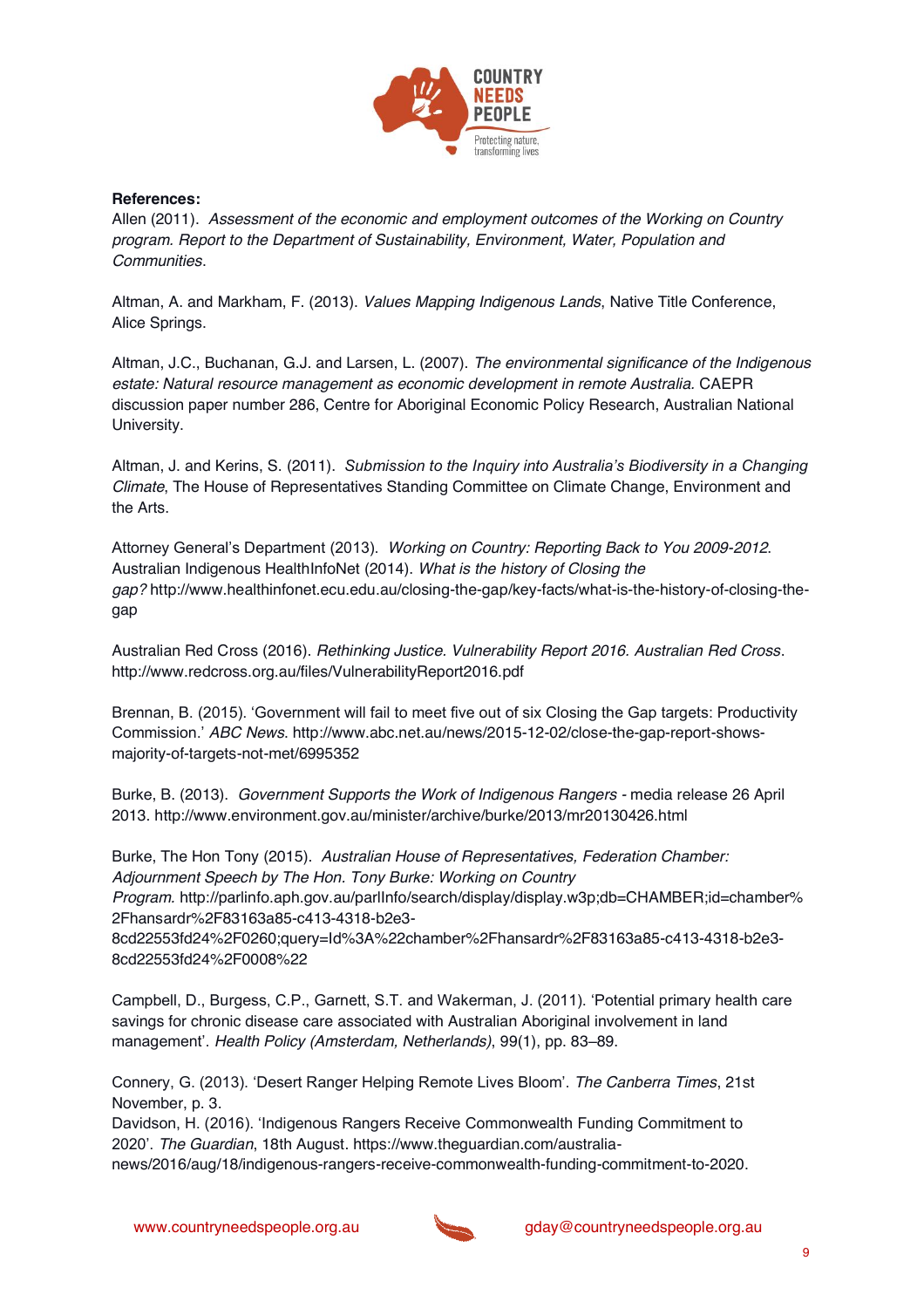

#### **References:**

Allen (2011). *Assessment of the economic and employment outcomes of the Working on Country program. Report to the Department of Sustainability, Environment, Water, Population and Communities*.

Altman, A. and Markham, F. (2013). *Values Mapping Indigenous Lands*, Native Title Conference, Alice Springs.

Altman, J.C., Buchanan, G.J. and Larsen, L. (2007). *The environmental significance of the Indigenous estate: Natural resource management as economic development in remote Australia.* CAEPR discussion paper number 286, Centre for Aboriginal Economic Policy Research, Australian National University.

Altman, J. and Kerins, S. (2011). *Submission to the Inquiry into Australia's Biodiversity in a Changing Climate*, The House of Representatives Standing Committee on Climate Change, Environment and the Arts.

Attorney General's Department (2013). *Working on Country: Reporting Back to You 2009-2012*. Australian Indigenous HealthInfoNet (2014). *What is the history of Closing the gap?* http://www.healthinfonet.ecu.edu.au/closing-the-gap/key-facts/what-is-the-history-of-closing-thegap

Australian Red Cross (2016). *Rethinking Justice. Vulnerability Report 2016. Australian Red Cross*. http://www.redcross.org.au/files/VulnerabilityReport2016.pdf

Brennan, B. (2015). 'Government will fail to meet five out of six Closing the Gap targets: Productivity Commission.' *ABC News*. http://www.abc.net.au/news/2015-12-02/close-the-gap-report-showsmajority-of-targets-not-met/6995352

Burke, B. (2013). *Government Supports the Work of Indigenous Rangers -* media release 26 April 2013. http://www.environment.gov.au/minister/archive/burke/2013/mr20130426.html

Burke, The Hon Tony (2015). *Australian House of Representatives, Federation Chamber: Adjournment Speech by The Hon. Tony Burke: Working on Country* 

*Program.* http://parlinfo.aph.gov.au/parlInfo/search/display/display.w3p;db=CHAMBER;id=chamber% 2Fhansardr%2F83163a85-c413-4318-b2e3-

8cd22553fd24%2F0260;query=Id%3A%22chamber%2Fhansardr%2F83163a85-c413-4318-b2e3- 8cd22553fd24%2F0008%22

Campbell, D., Burgess, C.P., Garnett, S.T. and Wakerman, J. (2011). 'Potential primary health care savings for chronic disease care associated with Australian Aboriginal involvement in land management'. *Health Policy (Amsterdam, Netherlands)*, 99(1), pp. 83–89.

Connery, G. (2013). 'Desert Ranger Helping Remote Lives Bloom'. *The Canberra Times*, 21st November, p. 3.

Davidson, H. (2016). 'Indigenous Rangers Receive Commonwealth Funding Commitment to 2020'. *The Guardian*, 18th August. https://www.theguardian.com/australia-

news/2016/aug/18/indigenous-rangers-receive-commonwealth-funding-commitment-to-2020.

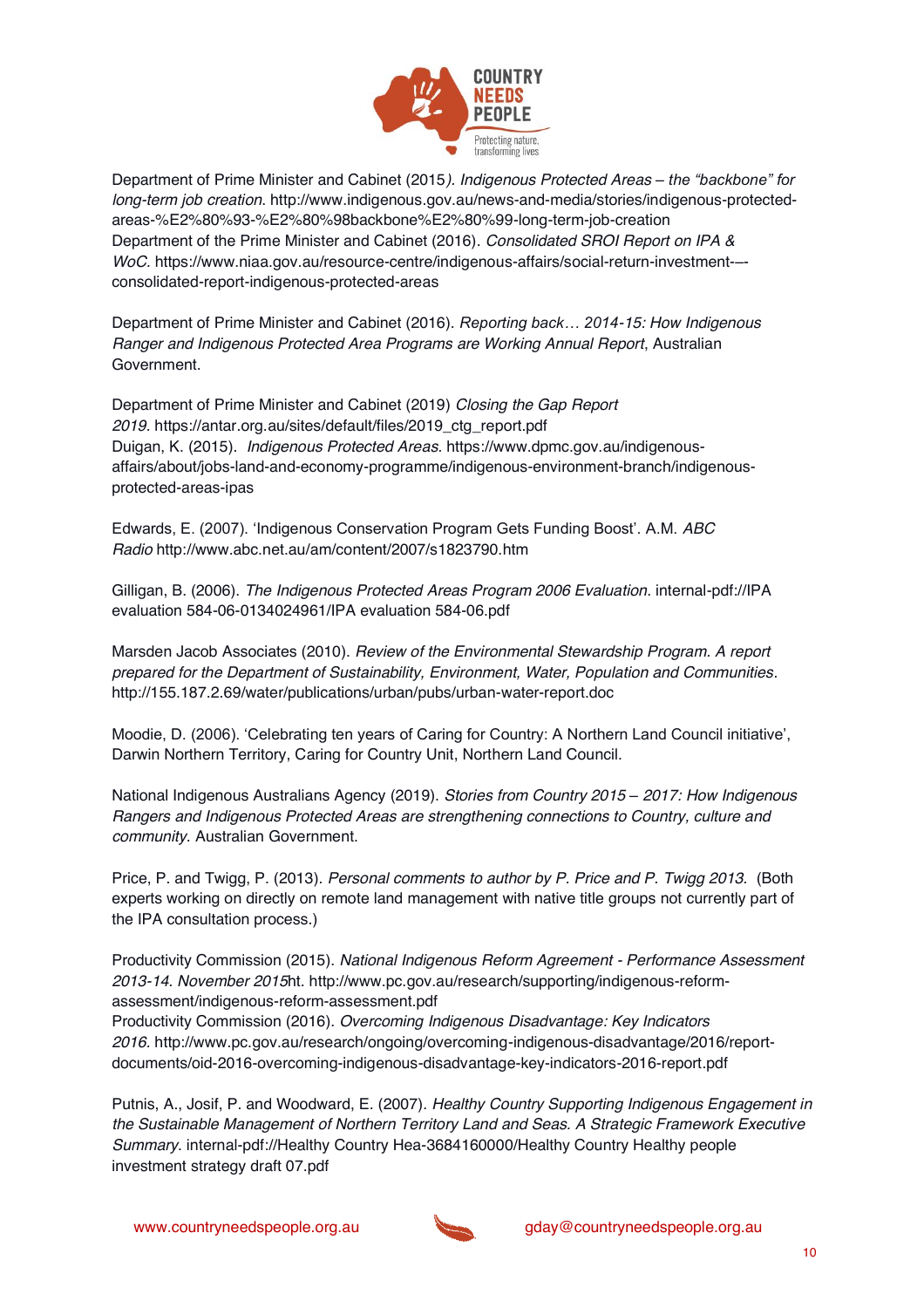

Department of Prime Minister and Cabinet (2015). Indigenous Protected Areas - the "backbone" for *long-term job creation*. http://www.indigenous.gov.au/news-and-media/stories/indigenous-protectedareas-%E2%80%93-%E2%80%98backbone%E2%80%99-long-term-job-creation Department of the Prime Minister and Cabinet (2016). *Consolidated SROI Report on IPA & WoC.* https://www.niaa.gov.au/resource-centre/indigenous-affairs/social-return-investment-– consolidated-report-indigenous-protected-areas

Department of Prime Minister and Cabinet (2016). *Reporting back...* 2014-15: How Indigenous *Ranger and Indigenous Protected Area Programs are Working Annual Report*, Australian Government.

Department of Prime Minister and Cabinet (2019) *Closing the Gap Report 2019.* https://antar.org.au/sites/default/files/2019\_ctg\_report.pdf Duigan, K. (2015). *Indigenous Protected Areas.* https://www.dpmc.gov.au/indigenousaffairs/about/jobs-land-and-economy-programme/indigenous-environment-branch/indigenousprotected-areas-ipas

Edwards, E. (2007). 'Indigenous Conservation Program Gets Funding Boost'. A.M. *ABC Radio* http://www.abc.net.au/am/content/2007/s1823790.htm

Gilligan, B. (2006). *The Indigenous Protected Areas Program 2006 Evaluation*. internal-pdf://IPA evaluation 584-06-0134024961/IPA evaluation 584-06.pdf

Marsden Jacob Associates (2010). *Review of the Environmental Stewardship Program. A report prepared for the Department of Sustainability, Environment, Water, Population and Communities*. http://155.187.2.69/water/publications/urban/pubs/urban-water-report.doc

Moodie, D. (2006). 'Celebrating ten years of Caring for Country: A Northern Land Council initiative', Darwin Northern Territory, Caring for Country Unit, Northern Land Council.

National Indigenous Australians Agency (2019). *Stories from Country 2015 ± 2017: How Indigenous Rangers and Indigenous Protected Areas are strengthening connections to Country, culture and community*. Australian Government.

Price, P. and Twigg, P. (2013). *Personal comments to author by P. Price and P. Twigg 2013.* (Both experts working on directly on remote land management with native title groups not currently part of the IPA consultation process.)

Productivity Commission (2015). *National Indigenous Reform Agreement - Performance Assessment 2013-14. November 2015*ht. http://www.pc.gov.au/research/supporting/indigenous-reformassessment/indigenous-reform-assessment.pdf

Productivity Commission (2016). *Overcoming Indigenous Disadvantage: Key Indicators 2016.* http://www.pc.gov.au/research/ongoing/overcoming-indigenous-disadvantage/2016/reportdocuments/oid-2016-overcoming-indigenous-disadvantage-key-indicators-2016-report.pdf

Putnis, A., Josif, P. and Woodward, E. (2007). *Healthy Country Supporting Indigenous Engagement in the Sustainable Management of Northern Territory Land and Seas. A Strategic Framework Executive Summary*. internal-pdf://Healthy Country Hea-3684160000/Healthy Country Healthy people investment strategy draft 07.pdf